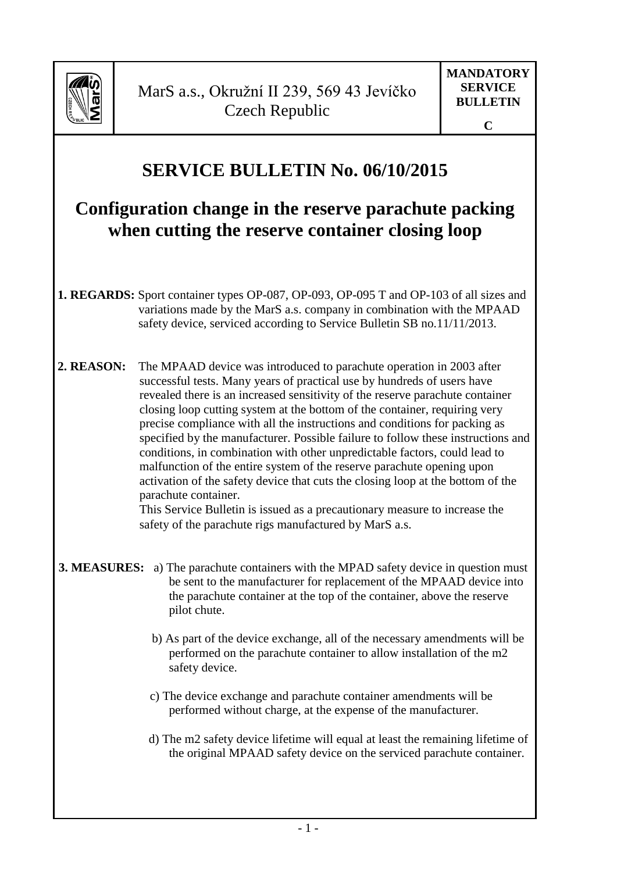

## **SERVICE BULLETIN No. 06/10/2015**

## **Configuration change in the reserve parachute packing when cutting the reserve container closing loop**

- **1. REGARDS:** Sport container types OP-087, OP-093, OP-095 T and OP-103 of all sizes and variations made by the MarS a.s. company in combination with the MPAAD safety device, serviced according to Service Bulletin SB no.11/11/2013.
- **2. REASON:** The MPAAD device was introduced to parachute operation in 2003 after successful tests. Many years of practical use by hundreds of users have revealed there is an increased sensitivity of the reserve parachute container closing loop cutting system at the bottom of the container, requiring very precise compliance with all the instructions and conditions for packing as specified by the manufacturer. Possible failure to follow these instructions and conditions, in combination with other unpredictable factors, could lead to malfunction of the entire system of the reserve parachute opening upon activation of the safety device that cuts the closing loop at the bottom of the parachute container.

This Service Bulletin is issued as a precautionary measure to increase the safety of the parachute rigs manufactured by MarS a.s.

- **3. MEASURES:** a) The parachute containers with the MPAD safety device in question must be sent to the manufacturer for replacement of the MPAAD device into the parachute container at the top of the container, above the reserve pilot chute.
	- b) As part of the device exchange, all of the necessary amendments will be performed on the parachute container to allow installation of the m2 safety device.
	- c) The device exchange and parachute container amendments will be performed without charge, at the expense of the manufacturer.
	- d) The m2 safety device lifetime will equal at least the remaining lifetime of the original MPAAD safety device on the serviced parachute container.